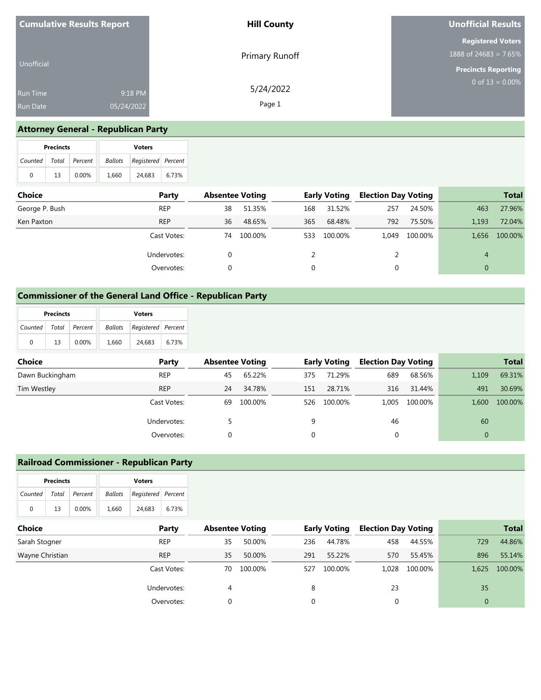| <b>Cumulative Results Report</b>   |                       | <b>Hill County</b>  | <b>Unofficial Results</b>                            |  |  |
|------------------------------------|-----------------------|---------------------|------------------------------------------------------|--|--|
| Unofficial                         |                       | Primary Runoff      | <b>Registered Voters</b><br>1888 of 24683 = $7.65\%$ |  |  |
| <b>Run Time</b><br><b>Run Date</b> | 9:18 PM<br>05/24/2022 | 5/24/2022<br>Page 1 | <b>Precincts Reporting</b><br>0 of $13 = 0.00\%$     |  |  |

# **Attorney General - Republican Party**

|                       | <b>Precincts</b> |       | <b>Voters</b> |                    |       |  |  |
|-----------------------|------------------|-------|---------------|--------------------|-------|--|--|
| Counted Total Percent |                  |       | Ballots       | Registered Percent |       |  |  |
| 0                     | 13               | 0.00% | 1.660         | 24.683             | 6.73% |  |  |

| Choice         | Party       | <b>Absentee Voting</b> |         |     | <b>Early Voting</b> | <b>Election Day Voting</b> |         |       | <b>Total</b> |
|----------------|-------------|------------------------|---------|-----|---------------------|----------------------------|---------|-------|--------------|
| George P. Bush | <b>REP</b>  | 38                     | 51.35%  | 168 | 31.52%              | 257                        | 24.50%  | 463   | 27.96%       |
| Ken Paxton     | <b>REP</b>  | 36                     | 48.65%  | 365 | 68.48%              | 792                        | 75.50%  | 1,193 | 72.04%       |
|                | Cast Votes: | 74                     | 100.00% | 533 | 100.00%             | 1.049                      | 100.00% | 1,656 | 100.00%      |
|                | Undervotes: |                        |         |     |                     |                            |         | 4     |              |
|                | Overvotes:  |                        |         | 0   |                     |                            |         | 0     |              |

### **Commissioner of the General Land Office - Republican Party**

|                       | <b>Precincts</b> |          | <b>Voters</b> |                                   |       |  |  |
|-----------------------|------------------|----------|---------------|-----------------------------------|-------|--|--|
| Counted Total Percent |                  |          |               | <b>Ballots</b> Registered Percent |       |  |  |
| 0                     | 13               | $0.00\%$ | 1.660         | 24.683                            | 6.73% |  |  |

| <b>Choice</b>   | Party       | <b>Absentee Voting</b> |         |     | <b>Early Voting</b> | <b>Election Day Voting</b> |         |       | <b>Total</b> |
|-----------------|-------------|------------------------|---------|-----|---------------------|----------------------------|---------|-------|--------------|
| Dawn Buckingham | <b>REP</b>  | 45                     | 65.22%  | 375 | 71.29%              | 689                        | 68.56%  | 1,109 | 69.31%       |
| Tim Westley     | <b>REP</b>  | 24                     | 34.78%  | 151 | 28.71%              | 316                        | 31.44%  | 491   | 30.69%       |
|                 | Cast Votes: | 69                     | 100.00% | 526 | 100.00%             | 1.005                      | 100.00% | 1.600 | 100.00%      |
|                 | Undervotes: |                        |         | 9   |                     | 46                         |         | 60    |              |
|                 | Overvotes:  |                        |         |     |                     |                            |         | 0     |              |

### **Railroad Commissioner - Republican Party**

| <b>Precincts</b> |       |          | <b>Voters</b> |                    |       |
|------------------|-------|----------|---------------|--------------------|-------|
| Counted          | Total | Percent  | Ballots       | Registered Percent |       |
| U                | 13    | $0.00\%$ | 1,660         | 24,683             | 6.73% |

| Choice          | Party       | <b>Absentee Voting</b> |         |     | <b>Early Voting</b> |       | <b>Election Day Voting</b> |          | <b>Total</b>  |
|-----------------|-------------|------------------------|---------|-----|---------------------|-------|----------------------------|----------|---------------|
| Sarah Stogner   | <b>REP</b>  | 35.                    | 50.00%  | 236 | 44.78%              | 458   | 44.55%                     | 729      | 44.86%        |
| Wayne Christian | <b>REP</b>  | 35                     | 50.00%  | 291 | 55.22%              | 570   | 55.45%                     | 896      | 55.14%        |
|                 | Cast Votes: | 70.                    | 100.00% | 527 | 100.00%             | 1.028 | 100.00%                    |          | 1,625 100.00% |
|                 | Undervotes: | 4                      |         | 8   |                     | 23    |                            | 35       |               |
|                 | Overvotes:  |                        |         |     |                     |       |                            | $\Omega$ |               |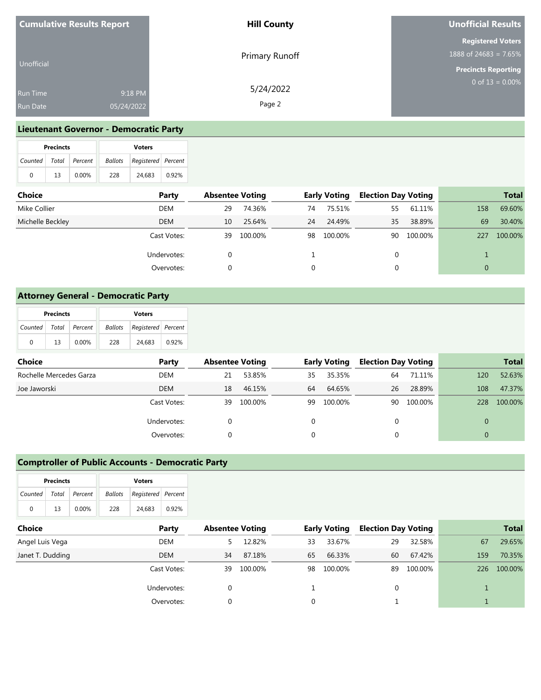| <b>Cumulative Results Report</b> |            | <b>Hill County</b> | <b>Unofficial Results</b>                         |  |  |
|----------------------------------|------------|--------------------|---------------------------------------------------|--|--|
|                                  |            | Primary Runoff     | <b>Registered Voters</b><br>1888 of 24683 = 7.65% |  |  |
| Unofficial                       |            |                    | <b>Precincts Reporting</b>                        |  |  |
| Run Time                         | 9:18 PM    | 5/24/2022          | 0 of $13 = 0.00\%$                                |  |  |
| Run Date                         | 05/24/2022 | Page 2             |                                                   |  |  |

# **Lieutenant Governor - Democratic Party**

|                       | <b>Precincts</b> |       | <b>Voters</b> |                    |       |  |  |
|-----------------------|------------------|-------|---------------|--------------------|-------|--|--|
| Counted Total Percent |                  |       | Ballots       | Registered Percent |       |  |  |
| 0                     | 13               | 0.00% | 228           | 24,683             | 0.92% |  |  |

| Choice           | Party       | <b>Absentee Voting</b> |         | <b>Early Voting</b> |         | <b>Election Day Voting</b> |         | <b>Total</b> |         |
|------------------|-------------|------------------------|---------|---------------------|---------|----------------------------|---------|--------------|---------|
| Mike Collier     | DEM         | 29                     | 74.36%  | 74                  | 75.51%  | 55                         | 61.11%  | 158          | 69.60%  |
| Michelle Beckley | <b>DEM</b>  | 10                     | 25.64%  | 24                  | 24.49%  | 35                         | 38.89%  | 69           | 30.40%  |
|                  | Cast Votes: | 39                     | 100.00% | 98                  | 100.00% | 90                         | 100.00% | 227          | 100.00% |
|                  | Undervotes: |                        |         |                     |         |                            |         |              |         |
|                  | Overvotes:  | 0                      |         |                     |         |                            |         | $\Omega$     |         |

# **Attorney General - Democratic Party**

|                       | <b>Precincts</b> |       | <b>Voters</b> |                            |       |  |  |
|-----------------------|------------------|-------|---------------|----------------------------|-------|--|--|
| Counted Total Percent |                  |       |               | Ballots Registered Percent |       |  |  |
| 0                     | 13               | 0.00% | 228           | 24.683                     | 0.92% |  |  |

| <b>Choice</b>           | Party       | <b>Absentee Voting</b> |         |          | <b>Early Voting</b> | <b>Election Day Voting</b> |         |     | <b>Total</b> |
|-------------------------|-------------|------------------------|---------|----------|---------------------|----------------------------|---------|-----|--------------|
| Rochelle Mercedes Garza | DEM         | 21                     | 53.85%  | 35       | 35.35%              | 64                         | 71.11%  | 120 | 52.63%       |
| Joe Jaworski            | <b>DEM</b>  | 18                     | 46.15%  | 64       | 64.65%              | 26                         | 28.89%  | 108 | 47.37%       |
|                         | Cast Votes: | 39                     | 100.00% | 99       | 100.00%             | 90                         | 100.00% | 228 | 100.00%      |
|                         | Undervotes: |                        |         | 0        |                     | 0                          |         |     |              |
|                         | Overvotes:  |                        |         | $\Omega$ |                     |                            |         |     |              |

### **Comptroller of Public Accounts - Democratic Party**

| <b>Precincts</b> |       | <b>Voters</b> |         |                    |       |
|------------------|-------|---------------|---------|--------------------|-------|
| Counted          | Total | Percent       | Ballots | Registered Percent |       |
| 0                | 13    | $0.00\%$      | 228     | 24,683             | 0.92% |

| <b>Choice</b>    | Party       | <b>Absentee Voting</b> |         | <b>Early Voting</b> |         | <b>Election Day Voting</b> |         | <b>Total</b> |         |
|------------------|-------------|------------------------|---------|---------------------|---------|----------------------------|---------|--------------|---------|
| Angel Luis Vega  | DEM         |                        | 12.82%  | 33                  | 33.67%  | 29                         | 32.58%  | 67           | 29.65%  |
| Janet T. Dudding | <b>DEM</b>  | 34                     | 87.18%  | 65                  | 66.33%  | 60                         | 67.42%  | 159          | 70.35%  |
|                  | Cast Votes: | 39                     | 100.00% | 98                  | 100.00% | 89                         | 100.00% | 226          | 100.00% |
|                  | Undervotes: |                        |         |                     |         |                            |         |              |         |
|                  | Overvotes:  |                        |         |                     |         |                            |         |              |         |